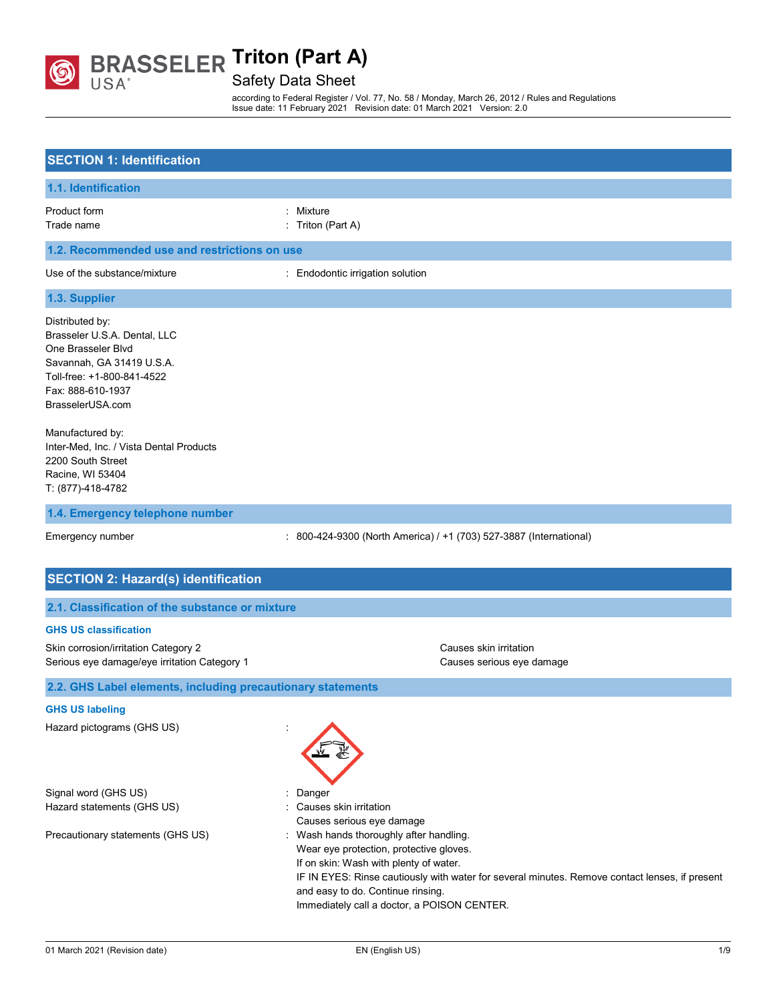

Safety Data Sheet

according to Federal Register / Vol. 77, No. 58 / Monday, March 26, 2012 / Rules and Regulations Issue date: 11 February 2021 Revision date: 01 March 2021 Version: 2.0

| <b>SECTION 1: Identification</b>                                                                                                                                                                                                                                                                       |                                                                                                                                                                                                                                                                                                                                                                                       |
|--------------------------------------------------------------------------------------------------------------------------------------------------------------------------------------------------------------------------------------------------------------------------------------------------------|---------------------------------------------------------------------------------------------------------------------------------------------------------------------------------------------------------------------------------------------------------------------------------------------------------------------------------------------------------------------------------------|
| 1.1. Identification                                                                                                                                                                                                                                                                                    |                                                                                                                                                                                                                                                                                                                                                                                       |
| Product form<br>Trade name                                                                                                                                                                                                                                                                             | : Mixture<br>: Triton (Part A)                                                                                                                                                                                                                                                                                                                                                        |
| 1.2. Recommended use and restrictions on use                                                                                                                                                                                                                                                           |                                                                                                                                                                                                                                                                                                                                                                                       |
| Use of the substance/mixture                                                                                                                                                                                                                                                                           | : Endodontic irrigation solution                                                                                                                                                                                                                                                                                                                                                      |
| 1.3. Supplier                                                                                                                                                                                                                                                                                          |                                                                                                                                                                                                                                                                                                                                                                                       |
| Distributed by:<br>Brasseler U.S.A. Dental, LLC<br>One Brasseler Blvd<br>Savannah, GA 31419 U.S.A.<br>Toll-free: +1-800-841-4522<br>Fax: 888-610-1937<br>BrasselerUSA.com<br>Manufactured by:<br>Inter-Med, Inc. / Vista Dental Products<br>2200 South Street<br>Racine, WI 53404<br>T: (877)-418-4782 |                                                                                                                                                                                                                                                                                                                                                                                       |
| 1.4. Emergency telephone number                                                                                                                                                                                                                                                                        |                                                                                                                                                                                                                                                                                                                                                                                       |
| Emergency number                                                                                                                                                                                                                                                                                       | : 800-424-9300 (North America) / +1 (703) 527-3887 (International)                                                                                                                                                                                                                                                                                                                    |
| <b>SECTION 2: Hazard(s) identification</b>                                                                                                                                                                                                                                                             |                                                                                                                                                                                                                                                                                                                                                                                       |
| 2.1. Classification of the substance or mixture                                                                                                                                                                                                                                                        |                                                                                                                                                                                                                                                                                                                                                                                       |
| <b>GHS US classification</b>                                                                                                                                                                                                                                                                           |                                                                                                                                                                                                                                                                                                                                                                                       |
| Skin corrosion/irritation Category 2<br>Serious eye damage/eye irritation Category 1                                                                                                                                                                                                                   | Causes skin irritation<br>Causes serious eye damage                                                                                                                                                                                                                                                                                                                                   |
| 2.2. GHS Label elements, including precautionary statements                                                                                                                                                                                                                                            |                                                                                                                                                                                                                                                                                                                                                                                       |
| <b>GHS US labeling</b>                                                                                                                                                                                                                                                                                 |                                                                                                                                                                                                                                                                                                                                                                                       |
| Hazard pictograms (GHS US)                                                                                                                                                                                                                                                                             |                                                                                                                                                                                                                                                                                                                                                                                       |
| Signal word (GHS US)<br>Hazard statements (GHS US)<br>Precautionary statements (GHS US)                                                                                                                                                                                                                | Danger<br>: Causes skin irritation<br>Causes serious eye damage<br>: Wash hands thoroughly after handling.<br>Wear eye protection, protective gloves.<br>If on skin: Wash with plenty of water.<br>IF IN EYES: Rinse cautiously with water for several minutes. Remove contact lenses, if present<br>and easy to do. Continue rinsing.<br>Immediately call a doctor, a POISON CENTER. |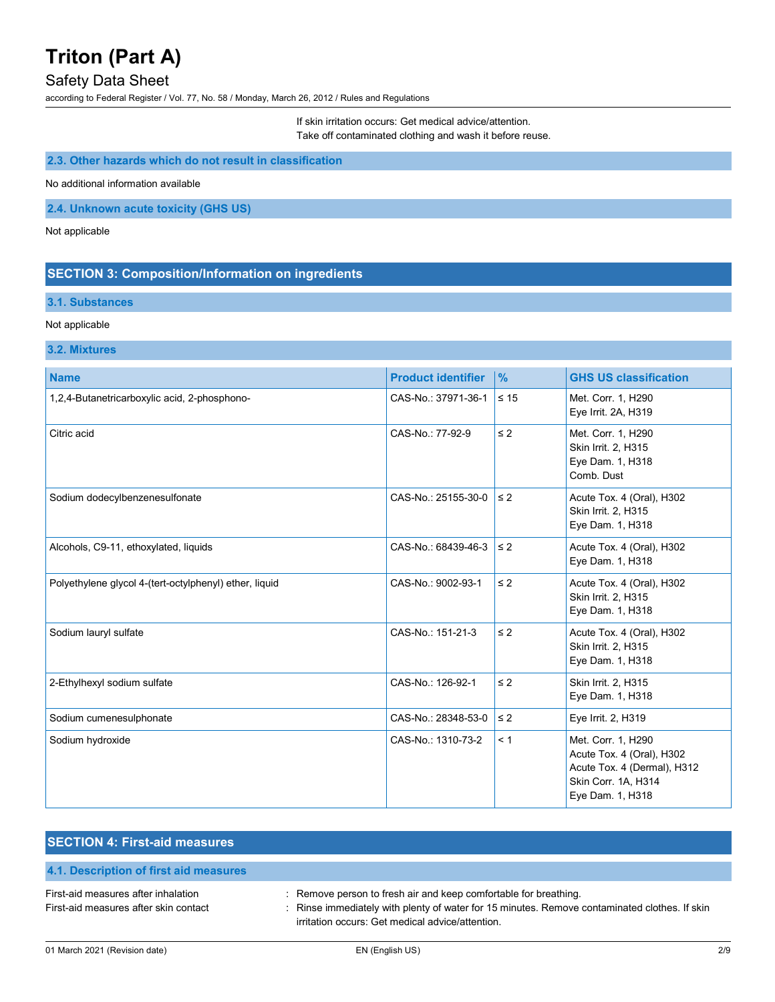## Safety Data Sheet

according to Federal Register / Vol. 77, No. 58 / Monday, March 26, 2012 / Rules and Regulations

If skin irritation occurs: Get medical advice/attention. Take off contaminated clothing and wash it before reuse.

#### **2.3. Other hazards which do not result in classification**

No additional information available

**2.4. Unknown acute toxicity (GHS US)**

Not applicable

## **SECTION 3: Composition/Information on ingredients**

### **3.1. Substances**

#### Not applicable

#### **3.2. Mixtures**

| <b>Name</b>                                            | <b>Product identifier</b> | $\frac{9}{6}$ | <b>GHS US classification</b>                                                                                              |
|--------------------------------------------------------|---------------------------|---------------|---------------------------------------------------------------------------------------------------------------------------|
| 1,2,4-Butanetricarboxylic acid, 2-phosphono-           | CAS-No.: 37971-36-1       | $\leq 15$     | Met. Corr. 1, H290<br>Eye Irrit. 2A, H319                                                                                 |
| Citric acid                                            | CAS-No.: 77-92-9          | $\leq 2$      | Met. Corr. 1, H290<br>Skin Irrit. 2, H315<br>Eye Dam. 1, H318<br>Comb. Dust                                               |
| Sodium dodecylbenzenesulfonate                         | CAS-No.: 25155-30-0       | $\leq 2$      | Acute Tox. 4 (Oral), H302<br>Skin Irrit. 2, H315<br>Eye Dam. 1, H318                                                      |
| Alcohols, C9-11, ethoxylated, liquids                  | CAS-No.: 68439-46-3       | $\leq 2$      | Acute Tox. 4 (Oral), H302<br>Eye Dam. 1, H318                                                                             |
| Polyethylene glycol 4-(tert-octylphenyl) ether, liquid | CAS-No.: 9002-93-1        | $\leq$ 2      | Acute Tox. 4 (Oral), H302<br>Skin Irrit. 2, H315<br>Eye Dam. 1, H318                                                      |
| Sodium lauryl sulfate                                  | CAS-No.: 151-21-3         | $\leq$ 2      | Acute Tox. 4 (Oral), H302<br>Skin Irrit. 2, H315<br>Eye Dam. 1, H318                                                      |
| 2-Ethylhexyl sodium sulfate                            | CAS-No.: 126-92-1         | $\leq 2$      | Skin Irrit. 2, H315<br>Eye Dam. 1, H318                                                                                   |
| Sodium cumenesulphonate                                | CAS-No.: 28348-53-0       | $\leq 2$      | Eye Irrit. 2, H319                                                                                                        |
| Sodium hydroxide                                       | CAS-No.: 1310-73-2        | < 1           | Met. Corr. 1, H290<br>Acute Tox. 4 (Oral), H302<br>Acute Tox. 4 (Dermal), H312<br>Skin Corr. 1A, H314<br>Eye Dam. 1, H318 |

| <b>SECTION 4: First-aid measures</b>   |                                                                  |
|----------------------------------------|------------------------------------------------------------------|
| 4.1. Description of first aid measures |                                                                  |
| First-aid measures after inhalation    | : Remove person to fresh air and keep comfortable for breathing. |

First-aid measures after skin contact : Rinse immediately with plenty of water for 15 minutes. Remove contaminated clothes. If skin irritation occurs: Get medical advice/attention.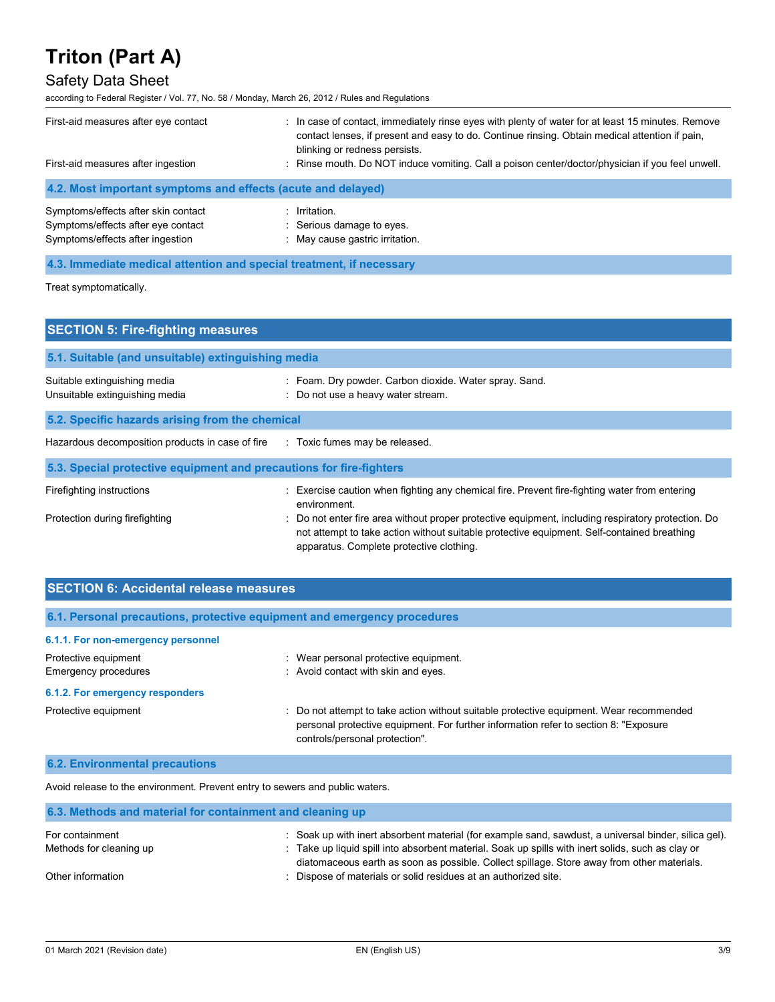## Safety Data Sheet

according to Federal Register / Vol. 77, No. 58 / Monday, March 26, 2012 / Rules and Regulations

| First-aid measures after eye contact<br>First-aid measures after ingestion | : In case of contact, immediately rinse eyes with plenty of water for at least 15 minutes. Remove<br>contact lenses, if present and easy to do. Continue rinsing. Obtain medical attention if pain,<br>blinking or redness persists.<br>: Rinse mouth. Do NOT induce vomiting. Call a poison center/doctor/physician if you feel unwell. |  |
|----------------------------------------------------------------------------|------------------------------------------------------------------------------------------------------------------------------------------------------------------------------------------------------------------------------------------------------------------------------------------------------------------------------------------|--|
| 4.2. Most important symptoms and effects (acute and delayed)               |                                                                                                                                                                                                                                                                                                                                          |  |
| Symptoms/effects after skin contact<br>Symptoms/effects after eye contact  | $:$ Irritation.<br>: Serious damage to eyes.                                                                                                                                                                                                                                                                                             |  |

# Symptoms/effects after ingestion : May cause gastric irritation. **4.3. Immediate medical attention and special treatment, if necessary**

Treat symptomatically.

| <b>SECTION 5: Fire-fighting measures</b>                            |                                                                                                                                                                                                                                              |  |  |
|---------------------------------------------------------------------|----------------------------------------------------------------------------------------------------------------------------------------------------------------------------------------------------------------------------------------------|--|--|
| 5.1. Suitable (and unsuitable) extinguishing media                  |                                                                                                                                                                                                                                              |  |  |
| Suitable extinguishing media<br>Unsuitable extinguishing media      | : Foam. Dry powder. Carbon dioxide. Water spray. Sand.<br>: Do not use a heavy water stream.                                                                                                                                                 |  |  |
| 5.2. Specific hazards arising from the chemical                     |                                                                                                                                                                                                                                              |  |  |
| Hazardous decomposition products in case of fire                    | : Toxic fumes may be released.                                                                                                                                                                                                               |  |  |
| 5.3. Special protective equipment and precautions for fire-fighters |                                                                                                                                                                                                                                              |  |  |
| Firefighting instructions                                           | Exercise caution when fighting any chemical fire. Prevent fire-fighting water from entering<br>environment.                                                                                                                                  |  |  |
| Protection during firefighting                                      | : Do not enter fire area without proper protective equipment, including respiratory protection. Do<br>not attempt to take action without suitable protective equipment. Self-contained breathing<br>apparatus. Complete protective clothing. |  |  |

| <b>SECTION 6: Accidental release measures</b> |                                                                                                                                                                                 |  |  |
|-----------------------------------------------|---------------------------------------------------------------------------------------------------------------------------------------------------------------------------------|--|--|
|                                               | 6.1. Personal precautions, protective equipment and emergency procedures                                                                                                        |  |  |
| 6.1.1. For non-emergency personnel            |                                                                                                                                                                                 |  |  |
| Protective equipment                          | Wear personal protective equipment.<br>۰.                                                                                                                                       |  |  |
| Emergency procedures                          | : Avoid contact with skin and eyes.                                                                                                                                             |  |  |
| 6.1.2. For emergency responders               |                                                                                                                                                                                 |  |  |
| Protective equipment                          | : Do not attempt to take action without suitable protective equipment. Wear recommended<br>personal protective equipment. For further information refer to section 8: "Exposure |  |  |

controls/personal protection".

#### **6.2. Environmental precautions**

Avoid release to the environment. Prevent entry to sewers and public waters.

| 6.3. Methods and material for containment and cleaning up |                                                                                                                                                                                                           |  |
|-----------------------------------------------------------|-----------------------------------------------------------------------------------------------------------------------------------------------------------------------------------------------------------|--|
| For containment<br>Methods for cleaning up                | : Soak up with inert absorbent material (for example sand, sawdust, a universal binder, silica gel).<br>: Take up liquid spill into absorbent material. Soak up spills with inert solids, such as clay or |  |
| Other information                                         | diatomaceous earth as soon as possible. Collect spillage. Store away from other materials.<br>Dispose of materials or solid residues at an authorized site.                                               |  |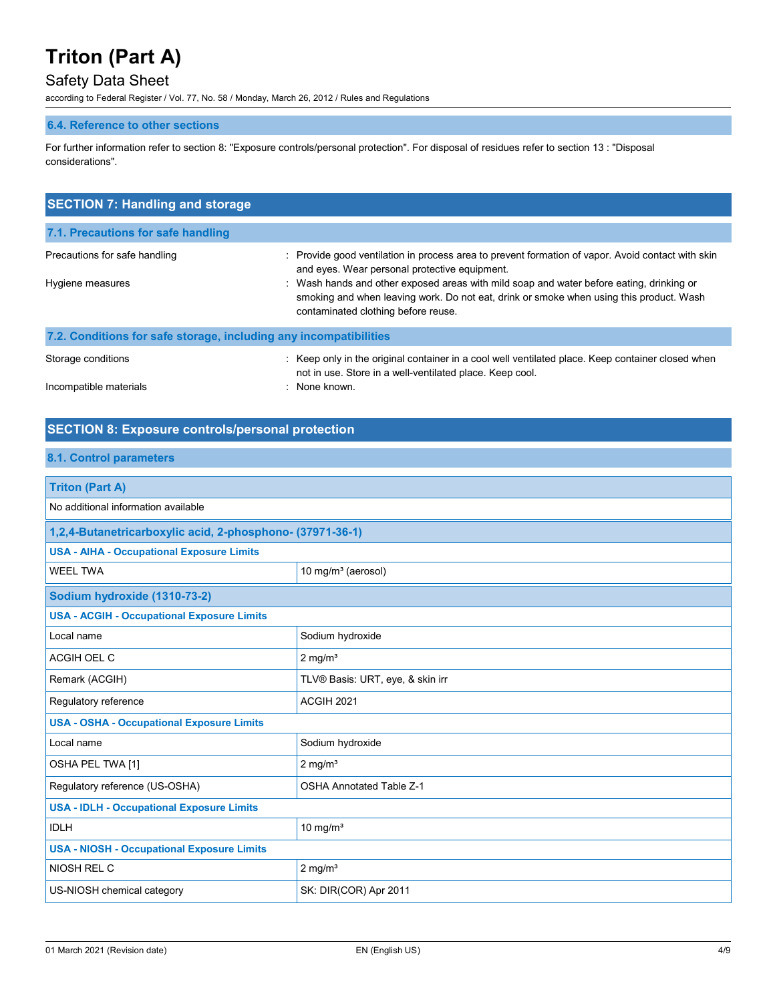# Safety Data Sheet

according to Federal Register / Vol. 77, No. 58 / Monday, March 26, 2012 / Rules and Regulations

#### **6.4. Reference to other sections**

For further information refer to section 8: "Exposure controls/personal protection". For disposal of residues refer to section 13 : "Disposal considerations".

| : Provide good ventilation in process area to prevent formation of vapor. Avoid contact with skin<br>and eyes. Wear personal protective equipment.<br>: Wash hands and other exposed areas with mild soap and water before eating, drinking or<br>smoking and when leaving work. Do not eat, drink or smoke when using this product. Wash<br>contaminated clothing before reuse. |
|----------------------------------------------------------------------------------------------------------------------------------------------------------------------------------------------------------------------------------------------------------------------------------------------------------------------------------------------------------------------------------|
| 7.2. Conditions for safe storage, including any incompatibilities                                                                                                                                                                                                                                                                                                                |
| : Keep only in the original container in a cool well ventilated place. Keep container closed when<br>not in use. Store in a well-ventilated place. Keep cool.<br>None known.                                                                                                                                                                                                     |
|                                                                                                                                                                                                                                                                                                                                                                                  |

## **SECTION 8: Exposure controls/personal protection**

#### **8.1. Control parameters**

| <b>Triton (Part A)</b>                                    |                                  |  |
|-----------------------------------------------------------|----------------------------------|--|
| No additional information available                       |                                  |  |
| 1,2,4-Butanetricarboxylic acid, 2-phosphono- (37971-36-1) |                                  |  |
| <b>USA - AIHA - Occupational Exposure Limits</b>          |                                  |  |
| <b>WEEL TWA</b>                                           | 10 mg/m <sup>3</sup> (aerosol)   |  |
| Sodium hydroxide (1310-73-2)                              |                                  |  |
| <b>USA - ACGIH - Occupational Exposure Limits</b>         |                                  |  |
| Local name                                                | Sodium hydroxide                 |  |
| ACGIH OEL C                                               | $2$ mg/m <sup>3</sup>            |  |
| Remark (ACGIH)                                            | TLV® Basis: URT, eye, & skin irr |  |
| Regulatory reference                                      | <b>ACGIH 2021</b>                |  |
| <b>USA - OSHA - Occupational Exposure Limits</b>          |                                  |  |
| Local name                                                | Sodium hydroxide                 |  |
| OSHA PEL TWA [1]                                          | $2$ mg/m <sup>3</sup>            |  |
| Regulatory reference (US-OSHA)                            | <b>OSHA Annotated Table Z-1</b>  |  |
| <b>USA - IDLH - Occupational Exposure Limits</b>          |                                  |  |
| <b>IDLH</b>                                               | 10 mg/ $m3$                      |  |
| <b>USA - NIOSH - Occupational Exposure Limits</b>         |                                  |  |
| NIOSH REL C                                               | $2$ mg/m <sup>3</sup>            |  |
| US-NIOSH chemical category                                | SK: DIR(COR) Apr 2011            |  |
|                                                           |                                  |  |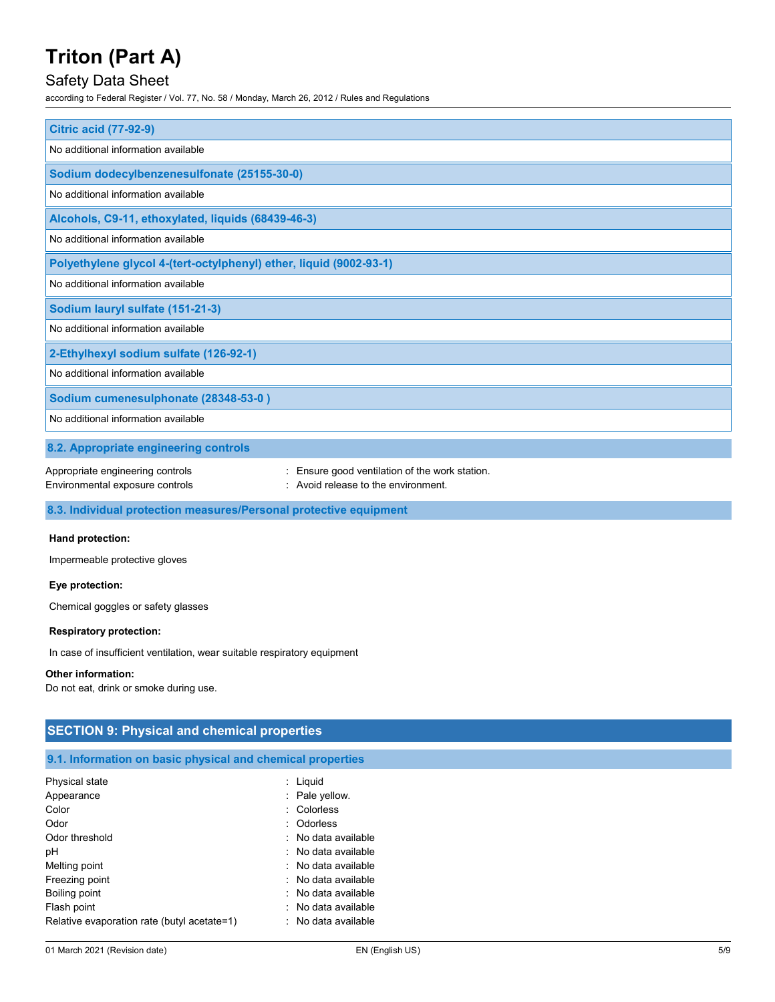### Safety Data Sheet

according to Federal Register / Vol. 77, No. 58 / Monday, March 26, 2012 / Rules and Regulations

| <b>Citric acid (77-92-9)</b>                                                                                                                             |  |  |
|----------------------------------------------------------------------------------------------------------------------------------------------------------|--|--|
| No additional information available                                                                                                                      |  |  |
| Sodium dodecylbenzenesulfonate (25155-30-0)                                                                                                              |  |  |
| No additional information available                                                                                                                      |  |  |
| Alcohols, C9-11, ethoxylated, liquids (68439-46-3)                                                                                                       |  |  |
| No additional information available                                                                                                                      |  |  |
| Polyethylene glycol 4-(tert-octylphenyl) ether, liquid (9002-93-1)                                                                                       |  |  |
| No additional information available                                                                                                                      |  |  |
| Sodium lauryl sulfate (151-21-3)                                                                                                                         |  |  |
| No additional information available                                                                                                                      |  |  |
| 2-Ethylhexyl sodium sulfate (126-92-1)                                                                                                                   |  |  |
| No additional information available                                                                                                                      |  |  |
| Sodium cumenesulphonate (28348-53-0)                                                                                                                     |  |  |
| No additional information available                                                                                                                      |  |  |
| 8.2. Appropriate engineering controls                                                                                                                    |  |  |
| Appropriate engineering controls<br>Ensure good ventilation of the work station.<br>Avoid release to the environment.<br>Environmental exposure controls |  |  |

**8.3. Individual protection measures/Personal protective equipment**

#### **Hand protection:**

Impermeable protective gloves

#### **Eye protection:**

Chemical goggles or safety glasses

#### **Respiratory protection:**

In case of insufficient ventilation, wear suitable respiratory equipment

#### **Other information:**

Do not eat, drink or smoke during use.

## **SECTION 9: Physical and chemical properties**

#### **9.1. Information on basic physical and chemical properties**

| Physical state                              | $:$ Liquid                     |
|---------------------------------------------|--------------------------------|
| Appearance                                  | : Pale yellow.                 |
| Color                                       | : Colorless                    |
| Odor                                        | : Odorless                     |
| Odor threshold                              | $\therefore$ No data available |
| рH                                          | $\therefore$ No data available |
| Melting point                               | $\therefore$ No data available |
| Freezing point                              | $\therefore$ No data available |
| Boiling point                               | $\therefore$ No data available |
| Flash point                                 | $\therefore$ No data available |
| Relative evaporation rate (butyl acetate=1) | $\therefore$ No data available |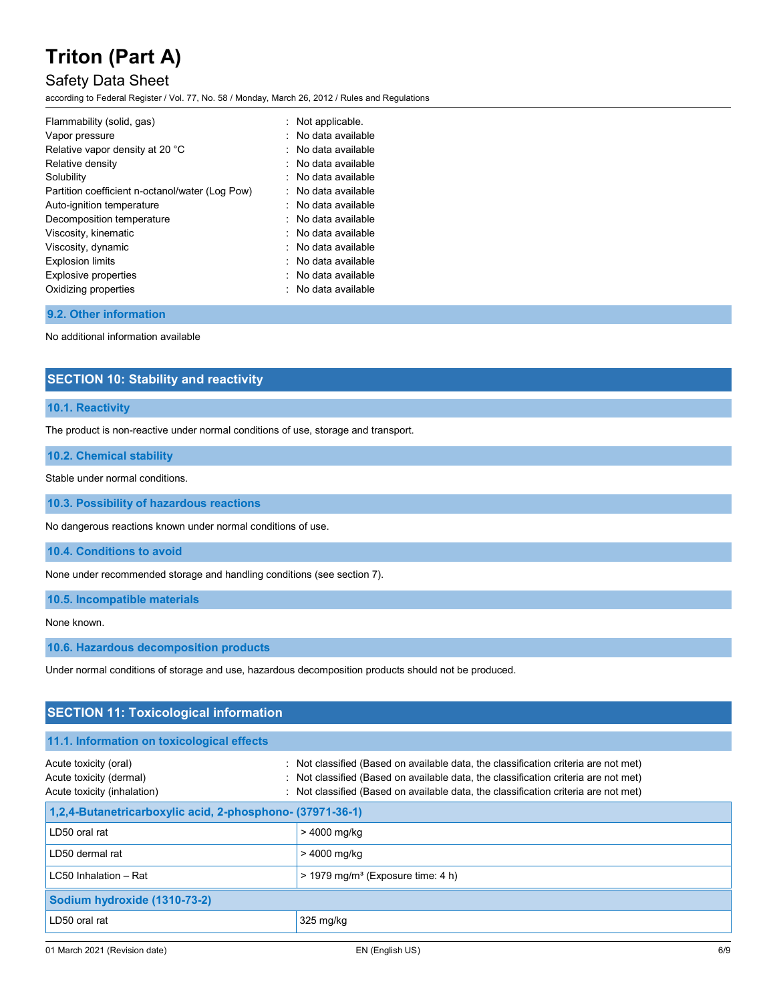### Safety Data Sheet

according to Federal Register / Vol. 77, No. 58 / Monday, March 26, 2012 / Rules and Regulations

| Flammability (solid, gas)<br>Vapor pressure     | : Not applicable.<br>: No data available |
|-------------------------------------------------|------------------------------------------|
| Relative vapor density at 20 °C                 | : No data available                      |
| Relative density                                | $\therefore$ No data available           |
| Solubility                                      | . No data available                      |
| Partition coefficient n-octanol/water (Log Pow) | $\therefore$ No data available           |
| Auto-ignition temperature                       | $\therefore$ No data available           |
| Decomposition temperature                       | $\therefore$ No data available           |
| Viscosity, kinematic                            | : No data available                      |
| Viscosity, dynamic                              | : No data available                      |
| <b>Explosion limits</b>                         | $\therefore$ No data available           |
| <b>Explosive properties</b>                     | $\therefore$ No data available           |
| Oxidizing properties                            | : No data available                      |

### **9.2. Other information**

No additional information available

### **SECTION 10: Stability and reactivity**

#### **10.1. Reactivity**

The product is non-reactive under normal conditions of use, storage and transport.

#### **10.2. Chemical stability**

Stable under normal conditions.

**10.3. Possibility of hazardous reactions**

No dangerous reactions known under normal conditions of use.

**10.4. Conditions to avoid**

None under recommended storage and handling conditions (see section 7).

**10.5. Incompatible materials**

None known.

**10.6. Hazardous decomposition products**

Under normal conditions of storage and use, hazardous decomposition products should not be produced.

| <b>SECTION 11: Toxicological information</b>                                    |                                                                                                                                                                                                                                                                   |  |  |  |
|---------------------------------------------------------------------------------|-------------------------------------------------------------------------------------------------------------------------------------------------------------------------------------------------------------------------------------------------------------------|--|--|--|
| 11.1. Information on toxicological effects                                      |                                                                                                                                                                                                                                                                   |  |  |  |
| Acute toxicity (oral)<br>Acute toxicity (dermal)<br>Acute toxicity (inhalation) | : Not classified (Based on available data, the classification criteria are not met)<br>: Not classified (Based on available data, the classification criteria are not met)<br>: Not classified (Based on available data, the classification criteria are not met) |  |  |  |
| 1,2,4-Butanetricarboxylic acid, 2-phosphono- (37971-36-1)                       |                                                                                                                                                                                                                                                                   |  |  |  |
| LD50 oral rat                                                                   | > 4000 mg/kg                                                                                                                                                                                                                                                      |  |  |  |
| LD50 dermal rat                                                                 | > 4000 mg/kg                                                                                                                                                                                                                                                      |  |  |  |
| LC50 Inhalation - Rat                                                           | $>$ 1979 mg/m <sup>3</sup> (Exposure time: 4 h)                                                                                                                                                                                                                   |  |  |  |
| Sodium hydroxide (1310-73-2)                                                    |                                                                                                                                                                                                                                                                   |  |  |  |
| LD50 oral rat                                                                   | $325 \,\mathrm{mg/kg}$                                                                                                                                                                                                                                            |  |  |  |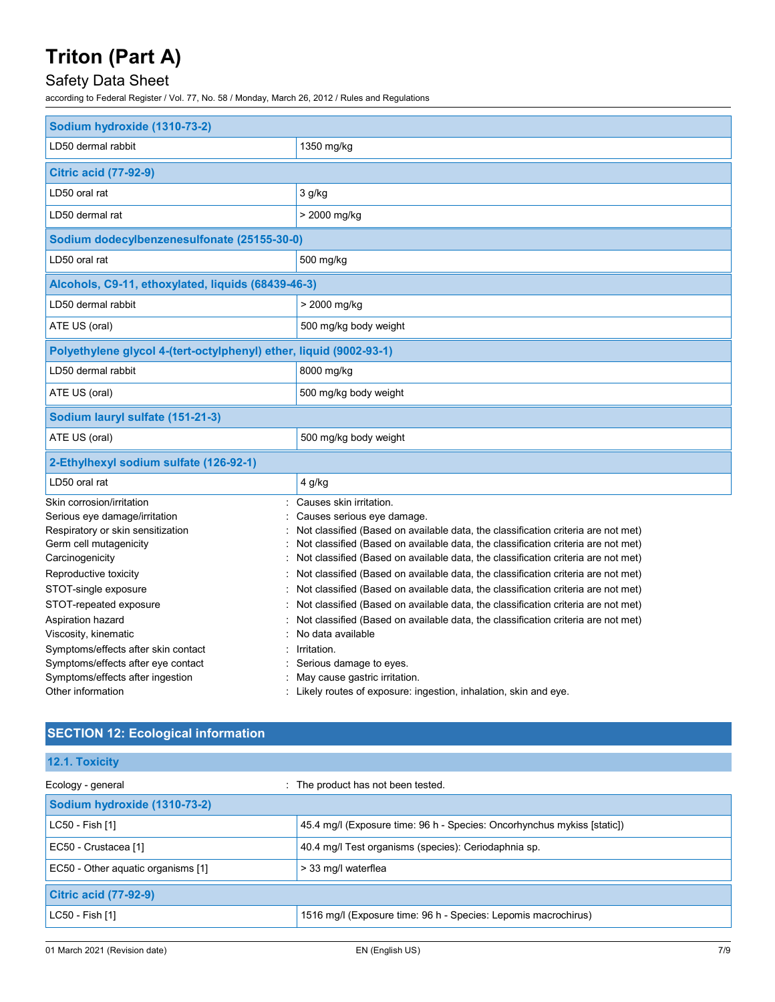# Safety Data Sheet

according to Federal Register / Vol. 77, No. 58 / Monday, March 26, 2012 / Rules and Regulations

| Sodium hydroxide (1310-73-2)                                       |                                                                                                    |  |  |  |
|--------------------------------------------------------------------|----------------------------------------------------------------------------------------------------|--|--|--|
| LD50 dermal rabbit                                                 | 1350 mg/kg                                                                                         |  |  |  |
| <b>Citric acid (77-92-9)</b>                                       |                                                                                                    |  |  |  |
| LD50 oral rat                                                      | 3 g/kg                                                                                             |  |  |  |
| LD50 dermal rat                                                    | > 2000 mg/kg                                                                                       |  |  |  |
| Sodium dodecylbenzenesulfonate (25155-30-0)                        |                                                                                                    |  |  |  |
| LD50 oral rat                                                      | 500 mg/kg                                                                                          |  |  |  |
| Alcohols, C9-11, ethoxylated, liquids (68439-46-3)                 |                                                                                                    |  |  |  |
| LD50 dermal rabbit                                                 | > 2000 mg/kg                                                                                       |  |  |  |
| ATE US (oral)                                                      | 500 mg/kg body weight                                                                              |  |  |  |
| Polyethylene glycol 4-(tert-octylphenyl) ether, liquid (9002-93-1) |                                                                                                    |  |  |  |
| LD50 dermal rabbit                                                 | 8000 mg/kg                                                                                         |  |  |  |
| ATE US (oral)                                                      | 500 mg/kg body weight                                                                              |  |  |  |
| Sodium lauryl sulfate (151-21-3)                                   |                                                                                                    |  |  |  |
|                                                                    |                                                                                                    |  |  |  |
| ATE US (oral)                                                      | 500 mg/kg body weight                                                                              |  |  |  |
| 2-Ethylhexyl sodium sulfate (126-92-1)                             |                                                                                                    |  |  |  |
| LD50 oral rat                                                      | 4 g/kg                                                                                             |  |  |  |
| Skin corrosion/irritation                                          | : Causes skin irritation.                                                                          |  |  |  |
| Serious eye damage/irritation                                      | Causes serious eye damage.                                                                         |  |  |  |
| Respiratory or skin sensitization                                  | Not classified (Based on available data, the classification criteria are not met)                  |  |  |  |
| Germ cell mutagenicity                                             | Not classified (Based on available data, the classification criteria are not met)                  |  |  |  |
| Carcinogenicity                                                    | Not classified (Based on available data, the classification criteria are not met)                  |  |  |  |
| Reproductive toxicity                                              | Not classified (Based on available data, the classification criteria are not met)                  |  |  |  |
| STOT-single exposure                                               | Not classified (Based on available data, the classification criteria are not met)                  |  |  |  |
| STOT-repeated exposure                                             | Not classified (Based on available data, the classification criteria are not met)                  |  |  |  |
| Aspiration hazard                                                  | Not classified (Based on available data, the classification criteria are not met)                  |  |  |  |
| Viscosity, kinematic                                               | No data available                                                                                  |  |  |  |
| Symptoms/effects after skin contact                                | Irritation.                                                                                        |  |  |  |
| Symptoms/effects after eye contact                                 | Serious damage to eyes.                                                                            |  |  |  |
| Symptoms/effects after ingestion<br>Other information              | May cause gastric irritation.<br>: Likely routes of exposure: ingestion, inhalation, skin and eye. |  |  |  |

# **SECTION 12: Ecological information**

| 12.1. Toxicity                     |                                                                         |  |  |
|------------------------------------|-------------------------------------------------------------------------|--|--|
| Ecology - general<br>÷.            | The product has not been tested.                                        |  |  |
| Sodium hydroxide (1310-73-2)       |                                                                         |  |  |
| LC50 - Fish [1]                    | 45.4 mg/l (Exposure time: 96 h - Species: Oncorhynchus mykiss [static]) |  |  |
| EC50 - Crustacea [1]               | 40.4 mg/l Test organisms (species): Ceriodaphnia sp.                    |  |  |
| EC50 - Other aquatic organisms [1] | > 33 mg/l waterflea                                                     |  |  |
| <b>Citric acid (77-92-9)</b>       |                                                                         |  |  |
| LC50 - Fish [1]                    | 1516 mg/l (Exposure time: 96 h - Species: Lepomis macrochirus)          |  |  |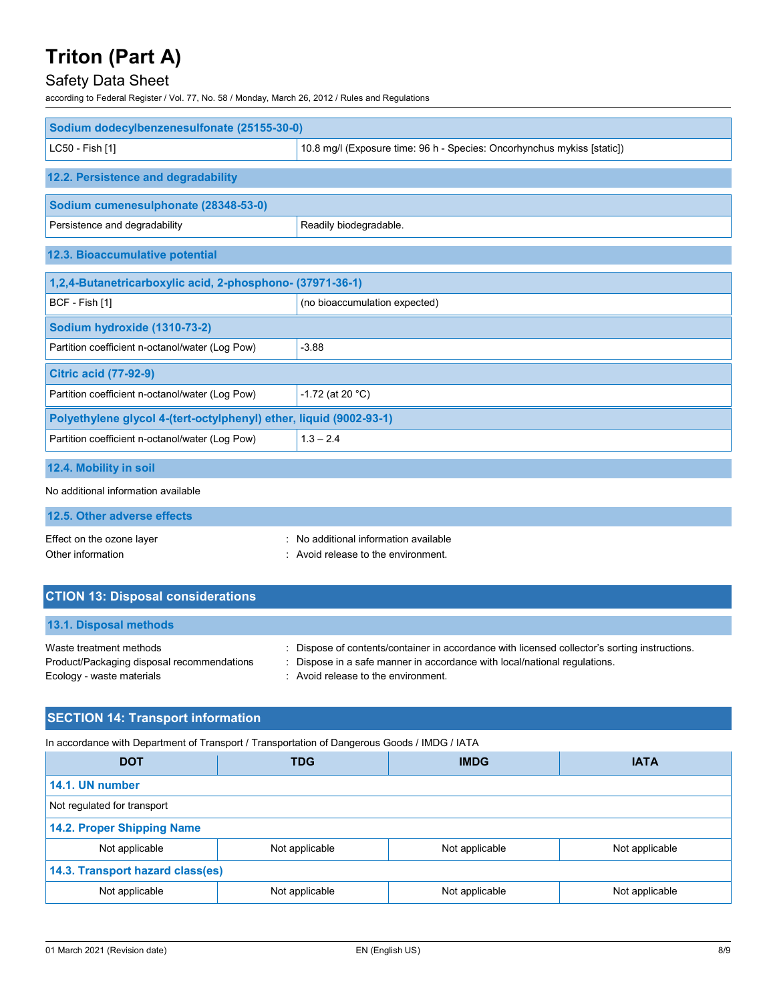# Safety Data Sheet

according to Federal Register / Vol. 77, No. 58 / Monday, March 26, 2012 / Rules and Regulations

| Sodium dodecylbenzenesulfonate (25155-30-0)                        |                                                                         |  |  |  |
|--------------------------------------------------------------------|-------------------------------------------------------------------------|--|--|--|
| LC50 - Fish [1]                                                    | 10.8 mg/l (Exposure time: 96 h - Species: Oncorhynchus mykiss [static]) |  |  |  |
| 12.2. Persistence and degradability                                |                                                                         |  |  |  |
| Sodium cumenesulphonate (28348-53-0)                               |                                                                         |  |  |  |
| Persistence and degradability                                      | Readily biodegradable.                                                  |  |  |  |
| 12.3. Bioaccumulative potential                                    |                                                                         |  |  |  |
| 1,2,4-Butanetricarboxylic acid, 2-phosphono- (37971-36-1)          |                                                                         |  |  |  |
| BCF - Fish [1]                                                     | (no bioaccumulation expected)                                           |  |  |  |
| Sodium hydroxide (1310-73-2)                                       |                                                                         |  |  |  |
| Partition coefficient n-octanol/water (Log Pow)                    | $-3.88$                                                                 |  |  |  |
| <b>Citric acid (77-92-9)</b>                                       |                                                                         |  |  |  |
| Partition coefficient n-octanol/water (Log Pow)                    | $-1.72$ (at 20 °C)                                                      |  |  |  |
| Polyethylene glycol 4-(tert-octylphenyl) ether, liquid (9002-93-1) |                                                                         |  |  |  |
| Partition coefficient n-octanol/water (Log Pow)                    | $1.3 - 2.4$                                                             |  |  |  |
| 12.4. Mobility in soil                                             |                                                                         |  |  |  |

#### No additional information available

|--|

| Effect on the ozone layer | : No additional information available |
|---------------------------|---------------------------------------|
| Other information         | : Avoid release to the environment.   |

### **CTION 13: Disposal considerations**

| <b>13.1. Disposal methods</b>              |                                                                                               |
|--------------------------------------------|-----------------------------------------------------------------------------------------------|
| Waste treatment methods                    | : Dispose of contents/container in accordance with licensed collector's sorting instructions. |
| Product/Packaging disposal recommendations | : Dispose in a safe manner in accordance with local/national regulations.                     |
| Ecology - waste materials                  | : Avoid release to the environment.                                                           |

## **SECTION 14: Transport information**

In accordance with Department of Transport / Transportation of Dangerous Goods / IMDG / IATA

| <b>DOT</b>                       | <b>TDG</b>     | <b>IMDG</b>    | <b>IATA</b>    |  |  |  |
|----------------------------------|----------------|----------------|----------------|--|--|--|
| 14.1. UN number                  |                |                |                |  |  |  |
| Not regulated for transport      |                |                |                |  |  |  |
| 14.2. Proper Shipping Name       |                |                |                |  |  |  |
| Not applicable                   | Not applicable | Not applicable | Not applicable |  |  |  |
| 14.3. Transport hazard class(es) |                |                |                |  |  |  |
| Not applicable                   | Not applicable | Not applicable | Not applicable |  |  |  |